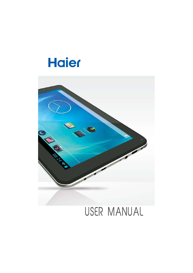



# USER MANUAL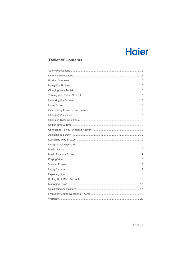## **Tablet of Contents**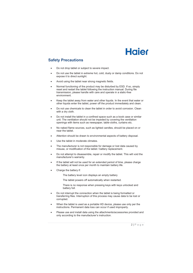### **Safety Precautions**

- Do not drop tablet or subject to severe impact.
- Do not use the tablet in extreme hot, cold, dusty or damp conditions. Do not expose it to direct sunlight.
- Avoid using the tablet near strong magnetic fields.
- Normal functioning of the product may be disturbed by ESD. If so, simply reset and restart the tablet following the instruction manual. During file transmission, please handle with care and operate in a static-free environment.
- x Keep the tablet away from water and other liquids. In the event that water or other liquids enter the tablet, power off the product immediately and clean.
- Do not use chemicals to clean the tablet in order to avoid corrosion. Clean with a dry cloth.
- Do not install the tablet in a confined space such as a book case or similar unit. The ventilation should not be impeded by covering the ventilation openings with items such as newspaper, table-cloths, curtains etc.
- No naked flame sources, such as lighted candles, should be placed on or near the tablet.
- Attention should be drawn to environmental aspects of battery disposal.
- Use the tablet in moderate climates.
- The manufacturer is not responsible for damage or lost data caused by misuse, or modification of the tablet / battery replacement.
- Do not attempt to disassemble, repair or modify the tablet. This will void the manufacturer's warranty.
- If the tablet will not be used for an extended period of time, please charge the battery at least once per month to maintain battery life.
- Charge the battery if:
	- The battery level icon displays an empty battery
	- The tablet powers off automatically when restarted.
	- There is no response when pressing keys with keys unlocked and battery full.
- Do not interrupt the connection when the tablet is being formatted or transferring files. Interruption of this process may cause data to be lost or corrupted.
- When the tablet is used as a portable HD device, please use only per the instructions. Permanent data loss can occur if used improperly.
- Please use and install data using the attachments/accessories provided and only according to the manufacturer's instruction.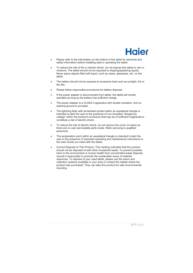

- Please refer to the information on the bottom of the tablet for electrical and safety information before installing data or operating the tablet.
- To reduce the risk of fire or electric shock, do not expose this tablet to rain or moisture. The tablet should not be exposed to dripping/splashing liquids. Never place objects filled with liquid, such as vases, glassware, etc. on the tablet.
- The battery should not be exposed to excessive heat such as sunlight, fire or the like.
- Please follow responsible procedures for battery disposal.
- If the power adapter is disconnected from tablet, the tablet will remain operable as long as the battery has sufficient charge.
- The power adapter is a CLASS II apparatus with double insulation, and no external ground is provided.
- The lightning flash with arrowhead symbol within an equilateral triangle is intended to alert the user to the presence of non-insulated "dangerous voltage" within the product's enclosure that may be of sufficient magnitude to constitute a risk of electric shock.
- To reduce the risk of electric shock, do not remove the cover (or back) as there are no user-serviceable parts inside. Refer servicing to qualified personnel.
- The exclamation point within an equilateral triangle is intended to alert the user to the presence of important operating and maintenance instructions in the User Guide pro-vided with the tablet.
- Correct Disposal of This Product. This marking indicates that this product should not be disposed of with other household waste. To prevent possible harm to the environment or human health from uncontrolled waste disposal, recycle it responsibly to promote the sustainable reuse of material resources. To dispose of your used tablet, please use the return and collection systems available in your area or contact the retailer where the product was purchased. They can take this product for safe environmental recycling.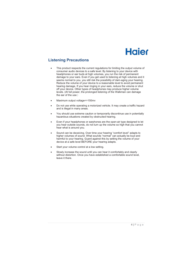### **Listening Precautions**

- This product respects the current regulations for limiting the output volume of consumer audio devices to a safe level. By listening to your device with headphones or ear buds at high volumes, you run the risk of permanent damage to your ears. Even if you get used to listening at high volumes and it seems normal to you, you still risk the possibility of dam-aging your hearing. Reduce the volume of your device to a reasonable level to avoid permanent hearing damage. If you hear ringing in your ears, reduce the volume or shut off your device. Other types of headphones may produce higher volume levels. (At full power, the prolonged listening of the Walkman can damage the ear of the use  $\overline{a}$
- Maximum output voltage <= 150mv
- Do not use while operating a motorized vehicle. It may create a traffic hazard and is illegal in many areas.
- You should use extreme caution or temporarily discontinue use in potentially hazardous situations created by obstructed hearing.
- Even if your headphones or earphones are the open-air type designed to let you hear outside sounds, do not turn up the volume so high that you cannot hear what is around you.
- Sound can be deceiving. Over time your hearing "comfort level" adapts to higher volumes of sound. What sounds "normal" can actually be loud and harmful to your hearing. Guard against this by setting the volume of your device at a safe level BEFORE your hearing adapts.
- Start your volume control at a low setting.
- Slowly increase the sound until you can hear it comfortably and clearly without distortion. Once you have established a comfortable sound level. leave it there.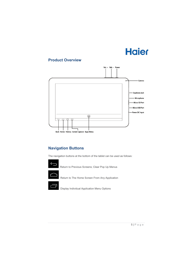### **Product Overview**



## **Navigation Buttons**

The navigation buttons at the bottom of the tablet can be used as follows:



Return to Previous Screens; Clear Pop Up Menus



Return to The Home Screen From Any Application



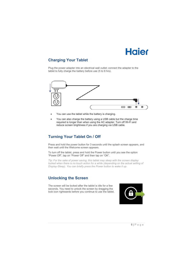## **Charging Your Tablet**

Plug the power adapter into an electrical wall outlet; connect the adapter to the tablet to fully charge the battery before use (5 to 6 hrs).



- You can use the tablet while the battery is charging.
- You can also charge the battery using a USB cable but the charge time required is longer than when using the AC adapter. Turn off Wi-Fi and reduce screen brightness if you are charging via USB cable.

## **Turning Your Tablet On / Off**

Press and hold the power button for 3 seconds until the splash screen appears, and then wait until the Welcome screen appears.

To turn off the tablet, press and hold the Power button until you see the option "Power Off", tap on "Power Off" and then tap on "OK".

*Tip: For the sake of power saving, this tablet may sleep with the screen display locked when there is no touch action for a while (depending on the actual setting of Display-Sleep). You can briefly press the Power button to wake it up.* 

### **Unlocking the Screen**

The screen will be locked after the tablet is idle for a few seconds. You need to unlock the screen by dragging the lock icon rightwards before you continue to use the tablet.

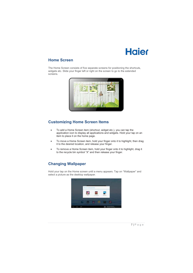### **Home Screen**

The Home Screen consists of five separate screens for positioning the shortcuts, widgets etc. Slide your finger left or right on the screen to go to the extended screens.



## **Customizing Home Screen Items**

- To add a Home Screen item (shortcut, widget etc.), you can tap the application icon to display all applications and widgets. Hold your tap on an item to place it on the home page.
- To move a Home Screen item, hold your finger onto it to highlight, then drag it to the desired location, and release your finger.
- To remove a Home Screen item, hold your finger onto it to highlight, drag it to the recycle bin symbol "X" and then release your finger.

## **Changing Wallpaper**

Hold your tap on the Home screen until a menu appears. Tap on "Wallpaper" and select a picture as the desktop wallpaper.

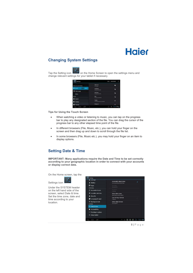### **Changing System Settings**

Tap the Setting icon **Fig.** on the Home Screen to open the settings menu and change relevant settings for your tablet if necessary.

| <b>Settings</b>                | <b>SCORE</b>                 | <b>ASS NOT WORK</b> |
|--------------------------------|------------------------------|---------------------|
| MAILERS ANCHANGES              | TEST 1#<br><b>Liquidated</b> | ۰                   |
| <b>WEAR</b>                    | <b>Countries</b>             |                     |
| <b>Clerta</b><br>$-1$<br>More  | <b>Sell Line</b><br>a wis    | e                   |
| ****                           | tes<br><b>Call of Links</b>  | ۰                   |
| <b>Sourch</b>                  | Tenda                        |                     |
| <b>O</b> Distiny               | Louis                        |                     |
| <b><i><u>ASSIMINGH</u></i></b> | <b>Seleph R</b>              | ۰                   |
| ÿ                              | 22                           | التي                |

**Tips for Using the Touch Screen** 

- When watching a video or listening to music, you can tap on the progress bar to play any designated section of the file. You can drag the cursor of the progress bar to any other elapsed time point of the file.
- In different browsers (File, Music, etc.), you can hold your finger on the screen and then drag up and down to scroll through the file list.
- In some browsers (File, Music etc.), you may hold your finger on an item to display options.

### **Setting Date & Time**

**IMPORTANT: Many applications require the Date and Time to be set correctly according to your geographic location in order to connect with your accounts or display correct data.** 

On the Home screen, tap the



Under the SYSTEM header on the left hand side of the screen, select Date & time. Set the time zone, date and time according to your location.



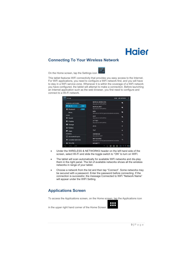

### **Connecting To Your Wireless Network**

On the Home screen, tap the Settings icon

This tablet features WiFi connectivity that provides you easy access to the Internet. For WiFi applications, you need to configure a WiFi network first, and you will have to stay in a WiFi service zone. Whenever it is within the coverage of a WiFi network you have configured, the tablet will attempt to make a connection. Before launching an Internet application such as the web browser, you first need to configure and connect to a Wi-Fi network.

| <b>Settings</b>                                  | <b>ADD NETWORK</b><br><b>SCAN</b>                                  |  |
|--------------------------------------------------|--------------------------------------------------------------------|--|
| <b>WIRELESS &amp; NETWORKS</b>                   | <b>NORCALWIRELESS</b><br>兌<br>Secured with WPA/WPA2                |  |
| <b>♥ Wi-Fi</b><br>ON<br>Bluetooth<br>ON<br>П     | <b>NORCALWIFI</b><br>₹.<br>Secured with WPA/WPA2                   |  |
| More                                             | <b>MDI</b><br>宗<br>Secured with WPA2 (protected network available) |  |
| <b>DEVICE</b><br><b>♦ Sound</b>                  | asci<br>÷.<br>Secured with WPA/WPA2                                |  |
| Display<br>Ð                                     | <b>ATT981</b><br>R<br>Secured with WPA/WPA2                        |  |
| Storage<br>⋿                                     | dlink<br>٠                                                         |  |
| n<br><b>Battery</b><br><b>Z</b> Apps             | <b>TVT</b><br>۴                                                    |  |
| <b>PERSONAL</b><br>$\mathfrak S$ Accounts & sync | <b>2WIRE928</b><br>零<br>Secured with WEP                           |  |
| <b>Location services</b>                         | NETGEAR92<br>÷.<br>Secured with WPA2 (protected network available) |  |
| Security<br>A                                    | <b>RENNETT</b>                                                     |  |
| Ē<br>$\equiv$                                    | 3.110<br>7<br>n<br>C<br><b>Part</b><br>n                           |  |

- Under the WIRELESS & NETWORKS header on the left hand side of the screen, select Wi-Fi and slide the toggle switch to "ON" to turn on WIFI.
- The tablet will scan automatically for available WiFi networks and dis-play them in the right panel. The list of available networks shows all the wireless networks in range of your tablet.
- x Choose a network from the list and then tap "Connect". Some networks may be secured with a password. Enter the password before connecting. If the connection is successful, the message Connected to WiFi "Network Name" will appear under the WIFI Setting.

### **Applications Screen**

To access the Applications screen, on the Home screen, tap the Applications icon

in the upper right hand corner of the Home Screen.



₽

 $9 | P$ age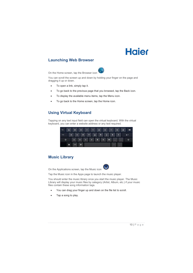### **Launching Web Browser**



On the Home screen, tap the Browser icon

You can scroll the screen up and down by holding your finger on the page and dragging it up or down.

- To open a link, simply tap it.
- To go back to the previous page that you browsed, tap the Back icon.
- To display the available menu items, tap the Menu icon.
- To go back to the Home screen, tap the Home icon.

### **Using Virtual Keyboard**

Tapping on any text input field can open the virtual keyboard. With the virtual keyboard, you can enter a website address or any text required.

| Tab  | $\mathbf{q}$ | w            | e            | $\mathbf{r}$ | <b>At</b> | $\mathbf{y}$ | u                       | $\Box$             | $\bullet$                | p          | Œ |
|------|--------------|--------------|--------------|--------------|-----------|--------------|-------------------------|--------------------|--------------------------|------------|---|
| 2123 | $\mathbf{a}$ | s.           | $\mathbf d$  |              | $f$ $g$   | h            | <b>TIL</b>              | $\pmb{\mathsf{k}}$ | Ţ                        |            |   |
| ↷    |              | $\mathbf{z}$ | $\mathbf{x}$ | ¢            | v         | b            | $\overline{\mathbf{n}}$ | m                  | ÷                        | <b>Car</b> |   |
|      | $\bullet$    | .com         | $\bullet$    |              |           |              |                         | е                  | $\overline{\phantom{a}}$ |            |   |

### **Music Library**

On the Applications screen, tap the Music icon

Tap the Music icon in the Apps page to launch the music player.

You should enter the music library once you start the music player. The Music Library will display your music files by category (Artist, Album, etc.) if your music files contain these song information tags.

- You can drag your finger up and down on the file list to scroll.
- Tap a song to play.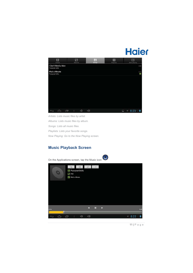

*Artists: Lists music files by artist. Albums: Lists music files by album. Songs: Lists all music files. Playlists: Lists your favorite songs. Now Playing: Go to the Now Playing screen.* 

## **Music Playback Screen**

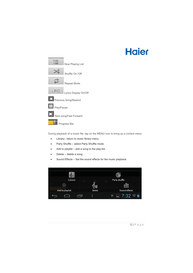## **Hajer**



During playback of a music file, tap on the MENU icon to bring up a context menu:

- Library– return to music library menu.
- Party Shuffle select Party Shuffle mode.
- Add to playlist  $-$  add a song to the play-list.
- $\bullet$  Delete delete a song.
- Sound Effects Set the sound effects for the music playback.

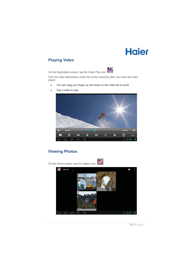## **Playing Video**



On the Application screen, tap the Video Play icon

Find the video files/folders under the correct directory after you enter the video player.

• You can drag your finger up and down on the video list to scroll.



• Tap a video to play.

## **Viewing Photos**

On the Home screen, tap the Gallery icon

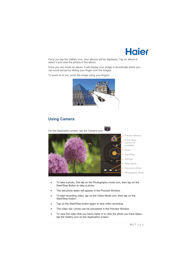

Once you tap the Gallery icon, your albums will be displayed. Tap an album to select it and view the photos in the album.

Once you are inside an album, it will display your image in thumbnails which you can scroll across by sliding your finger over the images.

To zoom in or out, pinch the image using your fingers.



### **Using Camera**



- To take a photo, first tap on the Photography mode icon, then tap on the Start/Stop Button to take a photo.
- The last photo taken will appear in the Preview Window.
- To start recording video, tap on the Video Mode icon, then tap on the Start/Stop button.
- Tap on the Start/Stop button again to stop video recording.
- The video clip / photo can be previewed in the Preview Window.
- To view the video that you have made or to view the photo you have taken, tap the Gallery icon on the Application screen.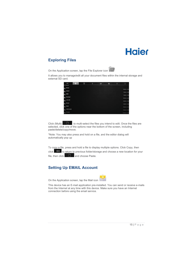## **Exploring Files**



It allows you to manage/edit all your document files within the internal storage and external SD card.

| tem                               | $\vert \circ \vert$ | Θ | Æ | E | ® | ۲ | D               |
|-----------------------------------|---------------------|---|---|---|---|---|-----------------|
| mnt/sdcard                        |                     |   |   |   |   |   |                 |
| <b>Alarms</b><br>÷                |                     |   |   |   |   |   | 0 items   -drw  |
| Android                           |                     |   |   |   |   |   |                 |
|                                   |                     |   |   |   |   |   | 1 items   -drw  |
| <b>DCIM</b><br>÷                  |                     |   |   |   |   |   | 1 items I -drw  |
| Download<br>÷                     |                     |   |   |   |   |   | 0 items   -drw  |
| <b>LOST.DIR</b><br>$\overline{a}$ |                     |   |   |   |   |   |                 |
|                                   |                     |   |   |   |   |   | 0 items   -drw  |
| <b>Movies</b><br>a.               |                     |   |   |   |   |   | 2 items   - drw |
| <b>Music</b><br>-                 |                     |   |   |   |   |   | 0 items (-drw   |
| <b>Notifications</b><br>$\sim$    |                     |   |   |   |   |   |                 |
|                                   |                     |   |   |   |   |   | 0 items 1-drw   |
| <b>Pictures</b><br>$\sim$         |                     |   |   |   |   |   | 10 items I-drw  |

Click (Multi)  $\Box$  to multi-select the files you intend to edit. Once the files are selected, click one of the options near the bottom of the screen, including paste/delete/copy/move.

\*Note: You may also press and hold on a file, and the editor dialog will automatically pop up

To copy a file, press and hold a file to display multiple options. Click Copy, then click to return to previous folder/storage and choose a new location for your file, then click  $\Box$  and choose Paste.

## **Setting Up EMAIL Account**

On the Application screen, tap the Mail icon



This device has an E-mail application pre-installed. You can send or receive e-mails from the Internet at any time with this device. Make sure you have an Internet connection before using the email service.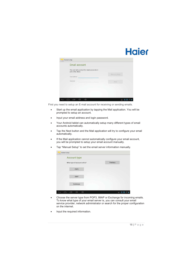| Email account                                                  |              |
|----------------------------------------------------------------|--------------|
| You can set up email for most accounts in<br>just a few steps. |              |
|                                                                | Manual setup |
| Email address                                                  |              |
| Password<br>mata                                               | Next         |
|                                                                |              |
|                                                                |              |
|                                                                |              |
|                                                                |              |

First you need to setup an E-mail account for receiving or sending emails.

- Start up the email application by tapping the Mail application. You will be prompted to setup an account.
- Input your email address and login password.
- Your Android tablet can automatically setup many different types of email accounts automatically.
- Tap the Next button and the Mail application will try to configure your email automatically.
- If the Mail application cannot automatically configure your email account, you will be prompted to setup your email account manually.
- Tap "Manual Setup" to set the email server information manually.

- Choose the server type from POP3, IMAP or Exchange for incoming emails. To know what type of your email server is, you can consult your email service provider, network administrator or search for the proper configuration on the internet.
- Input the required information.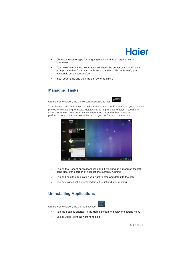

- Choose the server type for outgoing emails and input required server information.
- Tap "Next" to continue. Your tablet will check the server settings. When it prompts you that "Your account is set up, and email is on its way", your account is set up successfully.
- Input your name and then tap on "Done" to finish.

### **Managing Tasks**

On the Home screen, tap the Recent Applications icon

Your device can handle multiple tasks at the same time. For example, you can view photos while listening to music. Multitasking is helpful but inefficient if too many tasks are running. In order to save system memory and enhance system performance, you can end some tasks that you don't use at the moment.

╗



- Tap on the Recent Applications icon and it will bring up a menu on the left hand side of the screen of applications currently running.
- Tap and hold the application you want to stop and drag it to the right.
- The application will be removed from the list and stop running.

## **Uninstalling Applications**



- On the Home screen, tap the Settings icon
	- Tap the Settings shortcut in the Home Screen to display the setting menu.
	- Select "Apps" from the right hand side.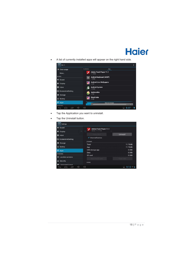• A list of currently installed apps will appear on the right hand side.



- Tap the Application you want to uninstall.
- Tap the Uninstall button.

| Settings                           |                                      |            |
|------------------------------------|--------------------------------------|------------|
| ♦ Sound                            | Adobe Flash Player 11.1              |            |
| <b>O</b> Display                   | version 11.1.115.8<br>41             |            |
| $\blacksquare$ Hdmi                | Force stop                           | Uninstall  |
| ScreenshotSetting                  | Show notifications<br><b>STORAGE</b> |            |
| Storage                            | Total                                | 11.78MB    |
| Ĥ<br>Battery                       | App                                  | 11.78MB    |
| <b>2</b> Apps                      | USB storage app                      | 0.00B      |
| <b>PERSONAL</b>                    | Data                                 | 0.00B      |
| <b>Location services</b><br>O.     | SD card                              | 0.00B      |
|                                    | Move to SD card                      | Clear data |
| Security<br>А                      | CACHE                                |            |
| $\overline{A}$<br>Language & input |                                      |            |
| $\Box$                             | $\preceq$                            | 913        |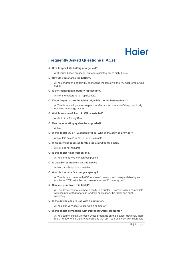### **Frequently Asked Questions (FAQs)**

#### **Q: How long will its battery charge last?**

A: It varies based on usage, but approximately six to eight hours.

**Q: How do you charge the battery?** 

A: You charge the battery by connecting the tablet via the AC adaptor to a wall outlet.

#### **Q: Is the rechargeable battery replaceable?**

A: No, the battery is not replaceable.

#### **Q: If you forget to turn the tablet off, will it run the battery down?**

A: The device will go into sleep mode after a short amount of time, drastically reducing its energy usage.

#### **Q: Which version of Android OS is installed?**

A: Android 4.2 Jelly Bean.

#### **Q: Can the operating system be upgraded?**

A: No.

#### **Q: Is this tablet 3G or 4G capable? If so, who is the service provider?**

A: No, this device is not 3G or 4G capable.

#### **Q: Is an antivirus required for this tablet and/or for email?**

A: No, it is not required.

#### **Q: Is this tablet Flash compatible?**

A: Yes, the device is Flash compatible.

#### **Q: Is JavaScript installed on this device?**

A: No, JavaScript is not installed.

#### **Q: What is the tablet's storage capacity?**

A: The device comes with 8GB of shared memory and is expandable by an additional 32GB with the purchase of a microSD memory card.

#### **Q: Can you print from this tablet?**

A: The device cannot connect directly to a printer. However, with a compatible wireless printer that offers an Android application, the tablet can print wirelessly.

#### **Q: Is the device easy to use with a computer?**

A: Yes, it is very easy to use with a computer.

#### **Q: Is this tablet compatible with Microsoft Office programs?**

A: You cannot install Microsoft Office programs on this device. However, there are a number of third-party applications that can read and work with Microsoft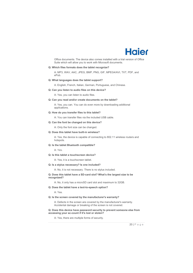

Office documents. The device also comes installed with a trial version of Office Suite which will allow you to work with Microsoft documents.

#### **Q: Which files formats does the tablet recognize?**

A: MP3, WAV, AAC, JPEG, BMP, PNG, GIF, MPEG4/AVI, TXT, PDF, and ePub.

#### **Q: What languages does the tablet support?**

A: English, French, Italian, German, Portuguese, and Chinese.

**Q: Can you listen to audio files on this device?** 

A: Yes, you can listen to audio files.

#### **Q: Can you read and/or create documents on the tablet?**

A: Yes, you can. You can do even more by downloading additional applications.

#### **Q: How do you transfer files to this tablet?**

A: You can transfer files via the included USB cable.

#### **Q: Can the font be changed on this device?**

A: Only the font size can be changed.

#### **Q: Does this tablet have built-in wireless?**

A: Yes, the device is capable of connecting to 802.11 wireless routers and hotspots.

#### **Q: Is the tablet Bluetooth compatible?**

A: Yes.

#### **Q: Is this tablet a touchscreen device?**

A: Yes, it is a touchscreen tablet.

#### **Q: Is a stylus necessary? Is one included?**

A: No, it is not necessary. There is no stylus included.

**Q: Does this tablet have a SD-card slot? What's the largest size to be recognized?** 

A: No, it only has a microSD card slot and maximum to 32GB.

#### **Q: Does the tablet have a text-to-speech option?**

A: Yes.

#### **Q: Is the screen covered by the manufacturer's warranty?**

A: Defects in the screen are covered by the manufacturer's warranty. Accidental damage or breaking of the screen is not covered.

**Q: Does this device have password security to prevent someone else from accessing your ac-count if it's lost or stolen?** 

A: Yes, there are multiple forms of security.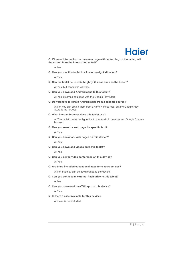

**Q: If I leave information on the same page without turning off the tablet, will the screen burn the information onto it?** 

A: No.

**Q: Can you use this tablet in a low or no-light situation?** 

A: Yes.

**Q: Can the tablet be used in brightly lit areas such as the beach?** 

A: Yes, but conditions will vary.

**Q: Can you download Android apps to this tablet?** 

A: Yes, it comes equipped with the Google Play Store.

**Q: Do you have to obtain Android apps from a specific source?** 

A: No, you can obtain them from a variety of sources, but the Google Play Store is the largest.

**Q: What internet browser does this tablet use?** 

A: The tablet comes configured with the An-droid browser and Google Chrome browser.

**Q: Can you search a web page for specific text?** 

A: Yes.

- **Q: Can you bookmark web pages on this device?**  A: Yes.
- **Q: Can you download videos onto this tablet?**

A: Yes.

**Q: Can you Skype video conference on this device?** 

A: Yes.

**Q: Are there included educational apps for classroom use?** 

A: No, but they can be downloaded to the device.

**Q: Can you connect an external flash drive to this tablet?** 

A: No.

**Q: Can you download the QVC app on this device?** 

A: Yes.

**Q: Is there a case available for this device?** 

A: Case is not included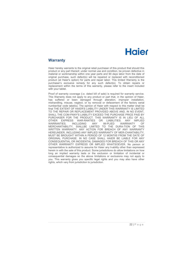#### **Warranty**

Haier hereby warrants to the original retail purchaser of this product that should this product or any part thereof, under normal use and condition, be proven defective in material or workmanship within one year parts and 90 days labor from the date of original purchase, such defect(s) will be repaired or replaced with reconditioned product (at Haier's option) for parts and repair labor. This limited Warranty is the purchaser's exclusive remedy for any such defect(s). To obtain repairs or replacement within the terms of this warranty, please refer to the insert included with your tablet.

Proof of warranty coverage (i.e. dated bill of sale) is required for warranty service. This Warranty does not apply to any product or part that, in the opinion of Haier, has suffered or been damaged through alteration, improper installation, mishandling, misuse, neglect, or by removal or defacement of the factory serial number/bar code label(s). The opinion of Haier with respect to this matter shall be final THE EXTENT OF HAIER'S LIABILITY UNDER THIS WARRANTY IS LIMITED TO THE REPAIR OR REPLACEMENT PROVIDED ABOVE AND, IN NO EVENT, SHALL THE COM-PANY'S LIABILITY EXCEED THE PURCHASE PRICE PAID BY PURCHASER FOR THE PRODUCT. THIS WARRANTY IS IN LIEU OF ALL<br>OTHER EXPRESS WAR-RANTIES OR LIABILITIES ANY IMPLIED OTHER EXPRESS WAR-RANTIES OR LIABILITIES. ANY IMPLIED WARRANTIES, INCLUDING ANY IM-PLIED WARRANTY OF MERCHANTABILITY, SIIALLBE LIMITED TO THE DURA-TION OF THIS WRITTEN WARRANTY. ANY ACTION FOR BREACH OF ANY WARRANTY HEREUNDER, INCLUDING ANY IMPLIED WARRANTY OF MER-CHANTABILITY, MUST BE BROUGHT WITHIN A PERIOD OF 12 MONTIIS FROM THE DATE OF ORIGINAL PURCHASE. IN NO CASE SHALL HAIER BE LIABLE FOR ANY CONSEQUENTIAL OR INCIDENTAL DAMAGES FOR BREACH OF THIS OR ANY OTHER WARRANTY EXPRESS OR IMPLIED WHATSOEVER. No person or representative is authorized to assume for Haier any li-ability other than expressed herein in with the sale of this product. Some jurisdictions do allow limitations on how long an implied warranty lasts or the exclusion or limitation of incidental or consequential damages so the above limitations or exclusions may not apply to you. This warranty gives you specific legal rights and you may also have other rights, which vary from jurisdiction to jurisdiction.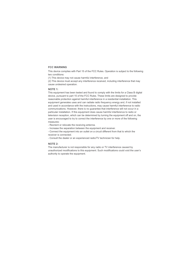#### **FCC WARNING**

This device complies with Part 15 of the FCC Rules. Operation is subject to the following two conditions:

(1) This device may not cause harmful interference, and

(2) This device must accept any interference received, including interference that may cause undesired operation.

#### **NOTE 1:**

This equipment has been tested and found to comply with the limits for a Class B digital device, pursuant to part 15 of the FCC Rules. These limits are designed to provide reasonable protection against harmful interference in a residential installation. This equipment generates uses and can radiate radio frequency energy and, if not installed and used in accordance with the instructions, may cause harmful interference to radio communications. However, there is no guarantee that interference will not occur in a particular installation. If this equipment does cause harmful interference to radio or television reception, which can be determined by turning the equipment off and on, the user is encouraged to try to correct the interference by one or more of the following measures:

- Reorient or relocate the receiving antenna.
- Increase the separation between the equipment and receiver.
- Connect the equipment into an outlet on a circuit different from that to which the receiver is connected.
- Consult the dealer or an experienced radio/TV technician for help.

#### **NOTE 2:**

The manufacturer is not responsible for any radio or TV interference caused by unauthorized modifications to this equipment. Such modifications could void the user's authority to operate the equipment.